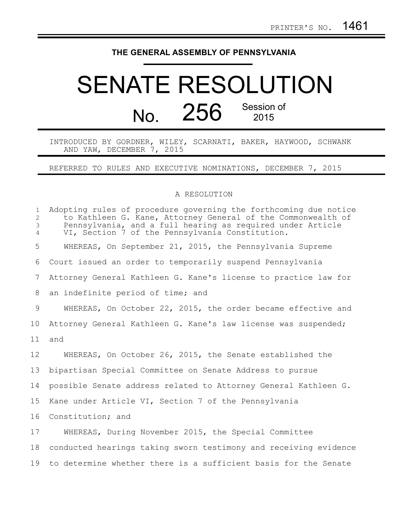## **THE GENERAL ASSEMBLY OF PENNSYLVANIA**

## SENATE RESOLUTION No. 256 Session of 2015

INTRODUCED BY GORDNER, WILEY, SCARNATI, BAKER, HAYWOOD, SCHWANK AND YAW, DECEMBER 7, 2015

REFERRED TO RULES AND EXECUTIVE NOMINATIONS, DECEMBER 7, 2015

## A RESOLUTION

| $\mathbf{1}$<br>$\overline{2}$<br>3<br>$\overline{4}$ | Adopting rules of procedure governing the forthcoming due notice<br>to Kathleen G. Kane, Attorney General of the Commonwealth of<br>Pennsylvania, and a full hearing as required under Article<br>VI, Section 7 of the Pennsylvania Constitution. |
|-------------------------------------------------------|---------------------------------------------------------------------------------------------------------------------------------------------------------------------------------------------------------------------------------------------------|
| 5                                                     | WHEREAS, On September 21, 2015, the Pennsylvania Supreme                                                                                                                                                                                          |
| 6                                                     | Court issued an order to temporarily suspend Pennsylvania                                                                                                                                                                                         |
| 7                                                     | Attorney General Kathleen G. Kane's license to practice law for                                                                                                                                                                                   |
| 8                                                     | an indefinite period of time; and                                                                                                                                                                                                                 |
| 9                                                     | WHEREAS, On October 22, 2015, the order became effective and                                                                                                                                                                                      |
| 10 <sub>o</sub>                                       | Attorney General Kathleen G. Kane's law license was suspended;                                                                                                                                                                                    |
| 11                                                    | and                                                                                                                                                                                                                                               |
| 12                                                    | WHEREAS, On October 26, 2015, the Senate established the                                                                                                                                                                                          |
| 13                                                    | bipartisan Special Committee on Senate Address to pursue                                                                                                                                                                                          |
| 14                                                    | possible Senate address related to Attorney General Kathleen G.                                                                                                                                                                                   |
| 15                                                    | Kane under Article VI, Section 7 of the Pennsylvania                                                                                                                                                                                              |
| 16                                                    | Constitution; and                                                                                                                                                                                                                                 |
| 17                                                    | WHEREAS, During November 2015, the Special Committee                                                                                                                                                                                              |
| 18                                                    | conducted hearings taking sworn testimony and receiving evidence                                                                                                                                                                                  |
| 19                                                    | to determine whether there is a sufficient basis for the Senate                                                                                                                                                                                   |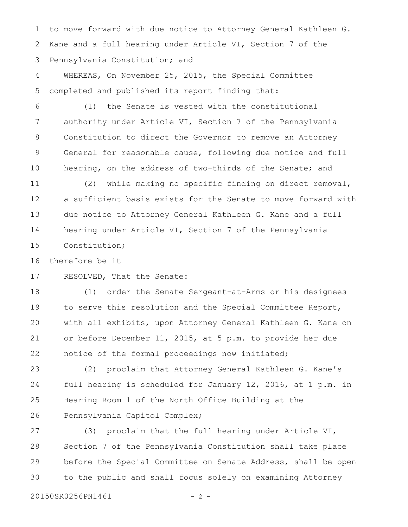to move forward with due notice to Attorney General Kathleen G. Kane and a full hearing under Article VI, Section 7 of the Pennsylvania Constitution; and 1 2 3

WHEREAS, On November 25, 2015, the Special Committee completed and published its report finding that: 4 5

(1) the Senate is vested with the constitutional authority under Article VI, Section 7 of the Pennsylvania Constitution to direct the Governor to remove an Attorney General for reasonable cause, following due notice and full hearing, on the address of two-thirds of the Senate; and 6 7 8 9 10

(2) while making no specific finding on direct removal, a sufficient basis exists for the Senate to move forward with due notice to Attorney General Kathleen G. Kane and a full hearing under Article VI, Section 7 of the Pennsylvania Constitution; 11 12 13 14 15

therefore be it 16

RESOLVED, That the Senate: 17

(1) order the Senate Sergeant-at-Arms or his designees to serve this resolution and the Special Committee Report, with all exhibits, upon Attorney General Kathleen G. Kane on or before December 11, 2015, at 5 p.m. to provide her due notice of the formal proceedings now initiated; 18 19 20 21 22

(2) proclaim that Attorney General Kathleen G. Kane's full hearing is scheduled for January 12, 2016, at 1 p.m. in Hearing Room 1 of the North Office Building at the Pennsylvania Capitol Complex; 23 24 25 26

(3) proclaim that the full hearing under Article VI, Section 7 of the Pennsylvania Constitution shall take place before the Special Committee on Senate Address, shall be open to the public and shall focus solely on examining Attorney 27 28 29 30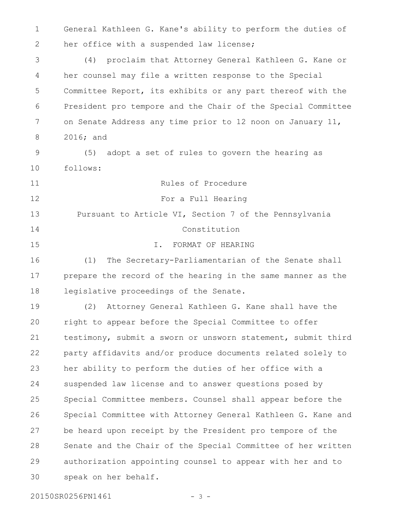General Kathleen G. Kane's ability to perform the duties of her office with a suspended law license; 1 2

(4) proclaim that Attorney General Kathleen G. Kane or her counsel may file a written response to the Special Committee Report, its exhibits or any part thereof with the President pro tempore and the Chair of the Special Committee on Senate Address any time prior to 12 noon on January 11, 2016; and 3 4 5 6 7 8

(5) adopt a set of rules to govern the hearing as follows: 9 10

Rules of Procedure For a Full Hearing Pursuant to Article VI, Section 7 of the Pennsylvania Constitution I. FORMAT OF HEARING (1) The Secretary-Parliamentarian of the Senate shall prepare the record of the hearing in the same manner as the 11 12 13 14 15 16 17

legislative proceedings of the Senate. 18

(2) Attorney General Kathleen G. Kane shall have the right to appear before the Special Committee to offer testimony, submit a sworn or unsworn statement, submit third party affidavits and/or produce documents related solely to her ability to perform the duties of her office with a suspended law license and to answer questions posed by Special Committee members. Counsel shall appear before the Special Committee with Attorney General Kathleen G. Kane and be heard upon receipt by the President pro tempore of the Senate and the Chair of the Special Committee of her written authorization appointing counsel to appear with her and to speak on her behalf. 19 20 21 22 23 24 25 26 27 28 29 30

20150SR0256PN1461 - 3 -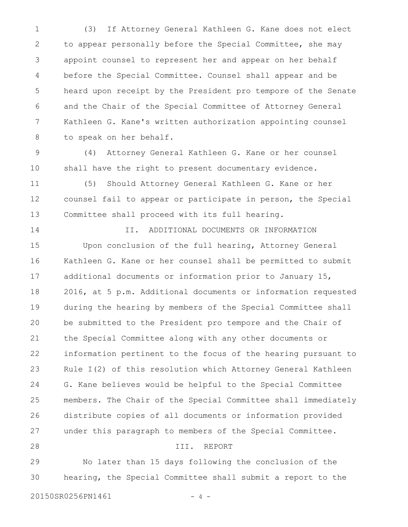(3) If Attorney General Kathleen G. Kane does not elect to appear personally before the Special Committee, she may appoint counsel to represent her and appear on her behalf before the Special Committee. Counsel shall appear and be heard upon receipt by the President pro tempore of the Senate and the Chair of the Special Committee of Attorney General Kathleen G. Kane's written authorization appointing counsel to speak on her behalf. 1 2 3 4 5 6 7 8

(4) Attorney General Kathleen G. Kane or her counsel shall have the right to present documentary evidence. 9 10

(5) Should Attorney General Kathleen G. Kane or her counsel fail to appear or participate in person, the Special Committee shall proceed with its full hearing. 11 12 13

II. ADDITIONAL DOCUMENTS OR INFORMATION Upon conclusion of the full hearing, Attorney General Kathleen G. Kane or her counsel shall be permitted to submit additional documents or information prior to January 15, 2016, at 5 p.m. Additional documents or information requested during the hearing by members of the Special Committee shall be submitted to the President pro tempore and the Chair of the Special Committee along with any other documents or information pertinent to the focus of the hearing pursuant to Rule I(2) of this resolution which Attorney General Kathleen G. Kane believes would be helpful to the Special Committee members. The Chair of the Special Committee shall immediately distribute copies of all documents or information provided under this paragraph to members of the Special Committee. III. REPORT 14 15 16 17 18 19 20 21 22 23 24 25 26 27 28

No later than 15 days following the conclusion of the hearing, the Special Committee shall submit a report to the 29 30

20150SR0256PN1461 - 4 -